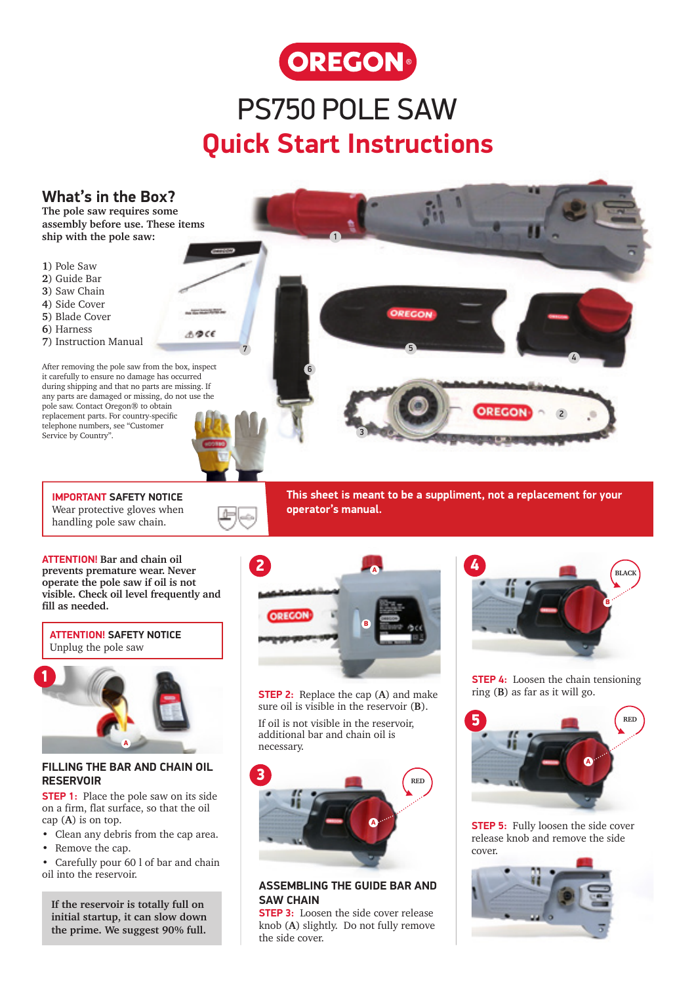

## PS750 POLE SAW **Quick Start Instructions**



**IMPORTANT SAFETY NOTICE** Wear protective gloves when handling pole saw chain.

**ATTENTION! Bar and chain oil prevents premature wear. Never operate the pole saw if oil is not visible. Check oil level frequently and** 



**fill as needed.**



## **FILLING THE BAR AND CHAIN OIL RESERVOIR**

**STEP 1:** Place the pole saw on its side on a firm, flat surface, so that the oil cap (**A**) is on top.

- Clean any debris from the cap area.
- Remove the cap.

• Carefully pour 60 l of bar and chain oil into the reservoir.

**If the reservoir is totally full on initial startup, it can slow down the prime. We suggest 90% full.**



**operator's manual.**

**STEP 2:** Replace the cap (**A**) and make sure oil is visible in the reservoir (**B**).

If oil is not visible in the reservoir, additional bar and chain oil is necessary.



## **ASSEMBLING THE GUIDE BAR AND SAW CHAIN**

**STEP 3:** Loosen the side cover release knob (**A**) slightly. Do not fully remove the side cover.



**STEP 4:** Loosen the chain tensioning ring (**B**) as far as it will go.



**STEP 5:** Fully loosen the side cover release knob and remove the side cover.